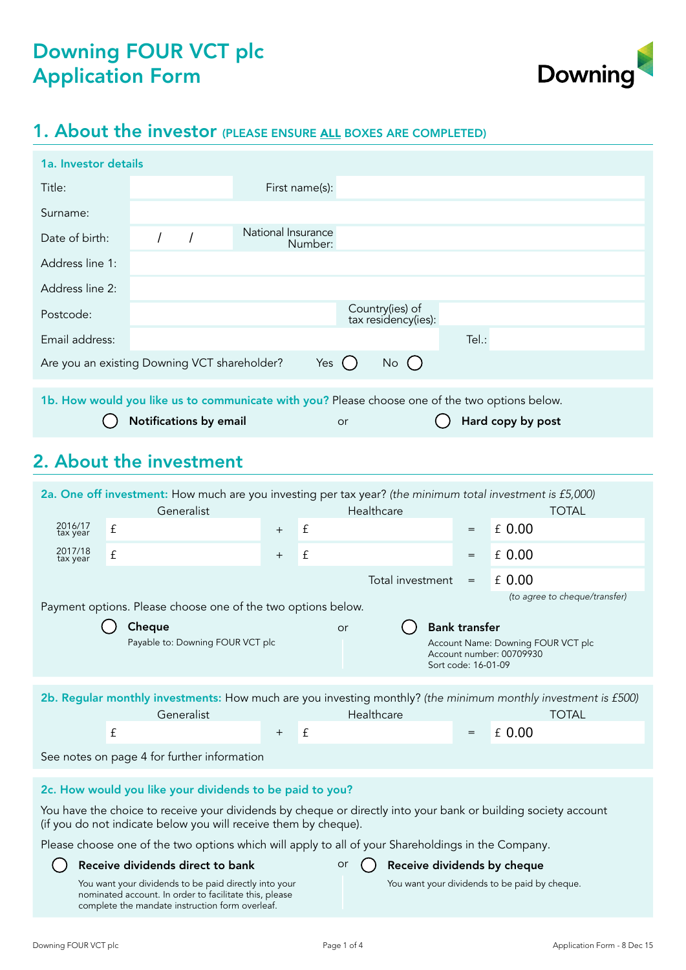

# 1. About the investor (PLEASE ENSURE ALL BOXES ARE COMPLETED)

| 1a. Investor details                         |                        |                                                                                                |    |                                        |       |                   |  |
|----------------------------------------------|------------------------|------------------------------------------------------------------------------------------------|----|----------------------------------------|-------|-------------------|--|
| Title:                                       |                        | First name(s):                                                                                 |    |                                        |       |                   |  |
| Surname:                                     |                        |                                                                                                |    |                                        |       |                   |  |
| Date of birth:                               |                        | National Insurance<br>Number:                                                                  |    |                                        |       |                   |  |
| Address line 1:                              |                        |                                                                                                |    |                                        |       |                   |  |
| Address line 2:                              |                        |                                                                                                |    |                                        |       |                   |  |
| Postcode:                                    |                        |                                                                                                |    | Country(ies) of<br>tax residency(ies): |       |                   |  |
| Email address:                               |                        |                                                                                                |    |                                        | Tel.: |                   |  |
| Are you an existing Downing VCT shareholder? |                        | Yes (                                                                                          |    | $No$ ( )                               |       |                   |  |
|                                              |                        | 1b. How would you like us to communicate with you? Please choose one of the two options below. |    |                                        |       |                   |  |
|                                              | Notifications by email |                                                                                                | or |                                        |       | Hard copy by post |  |

# 2. About the investment

| 2a. One off investment: How much are you investing per tax year? (the minimum total investment is £5,000) |                                                                                                                                                                                   |     |   |                                   |                                             |                                                                |
|-----------------------------------------------------------------------------------------------------------|-----------------------------------------------------------------------------------------------------------------------------------------------------------------------------------|-----|---|-----------------------------------|---------------------------------------------|----------------------------------------------------------------|
|                                                                                                           | Generalist                                                                                                                                                                        |     |   | Healthcare                        |                                             | <b>TOTAL</b>                                                   |
| 2016/17<br>tax year                                                                                       | £                                                                                                                                                                                 | $+$ | £ |                                   | $=$                                         | £ 0.00                                                         |
| 2017/18<br>tax year                                                                                       | £                                                                                                                                                                                 | $+$ | £ |                                   | $=$                                         | £ 0.00                                                         |
|                                                                                                           |                                                                                                                                                                                   |     |   | Total investment                  | $=$                                         | £ 0.00                                                         |
|                                                                                                           | Payment options. Please choose one of the two options below.                                                                                                                      |     |   |                                   |                                             | (to agree to cheque/transfer)                                  |
|                                                                                                           | Cheque<br>Payable to: Downing FOUR VCT plc                                                                                                                                        |     |   | or                                | <b>Bank transfer</b><br>Sort code: 16-01-09 | Account Name: Downing FOUR VCT plc<br>Account number: 00709930 |
|                                                                                                           | 2b. Regular monthly investments: How much are you investing monthly? (the minimum monthly investment is £500)<br>Generalist                                                       |     |   | Healthcare                        |                                             | <b>TOTAL</b>                                                   |
|                                                                                                           | $\mathbf f$                                                                                                                                                                       | $+$ | £ |                                   | $=$                                         | £ 0.00                                                         |
|                                                                                                           | See notes on page 4 for further information                                                                                                                                       |     |   |                                   |                                             |                                                                |
|                                                                                                           | 2c. How would you like your dividends to be paid to you?                                                                                                                          |     |   |                                   |                                             |                                                                |
|                                                                                                           | You have the choice to receive your dividends by cheque or directly into your bank or building society account<br>(if you do not indicate below you will receive them by cheque). |     |   |                                   |                                             |                                                                |
|                                                                                                           | Please choose one of the two options which will apply to all of your Shareholdings in the Company.                                                                                |     |   |                                   |                                             |                                                                |
|                                                                                                           | Receive dividends direct to bank                                                                                                                                                  |     |   | Receive dividends by cheque<br>or |                                             |                                                                |
|                                                                                                           | You want your dividends to be paid directly into your<br>nominated account. In order to facilitate this, please<br>complete the mandate instruction form overleaf.                |     |   |                                   |                                             | You want your dividends to be paid by cheque.                  |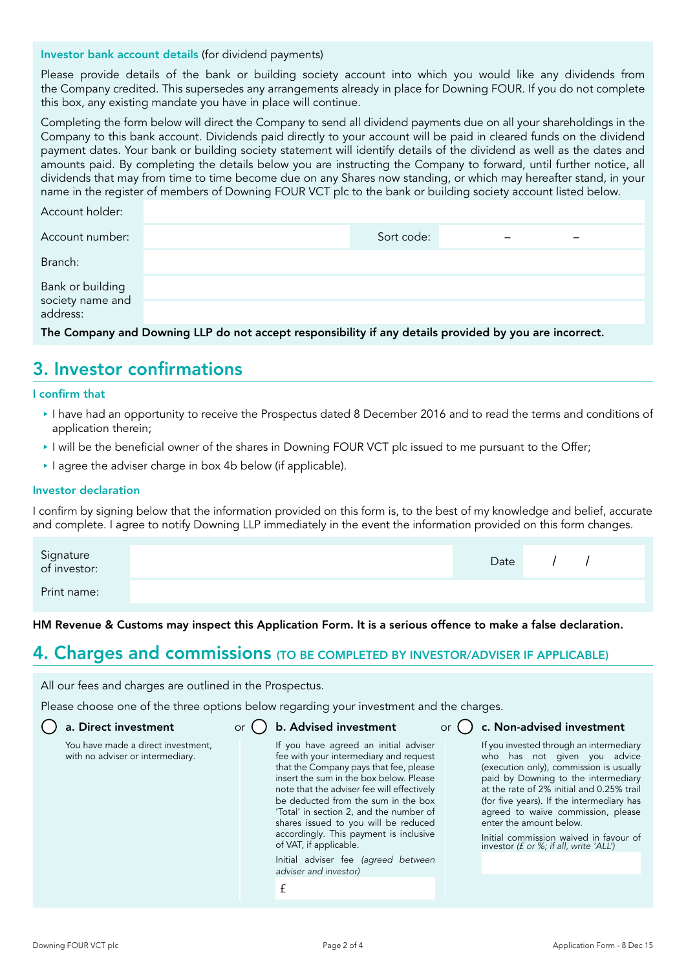#### Investor bank account details (for dividend payments)

Please provide details of the bank or building society account into which you would like any dividends from the Company credited. This supersedes any arrangements already in place for Downing FOUR. If you do not complete this box, any existing mandate you have in place will continue.

Completing the form below will direct the Company to send all dividend payments due on all your shareholdings in the Company to this bank account. Dividends paid directly to your account will be paid in cleared funds on the dividend payment dates. Your bank or building society statement will identify details of the dividend as well as the dates and amounts paid. By completing the details below you are instructing the Company to forward, until further notice, all dividends that may from time to time become due on any Shares now standing, or which may hereafter stand, in your name in the register of members of Downing FOUR VCT plc to the bank or building society account listed below.

| Account holder:                                  |            |  |  |
|--------------------------------------------------|------------|--|--|
| Account number:                                  | Sort code: |  |  |
| Branch:                                          |            |  |  |
| Bank or building<br>society name and<br>address: |            |  |  |
|                                                  |            |  |  |

The Company and Downing LLP do not accept responsibility if any details provided by you are incorrect.

### 3. Investor confirmations

#### I confirm that

- I have had an opportunity to receive the Prospectus dated 8 December 2016 and to read the terms and conditions of application therein;
- I will be the beneficial owner of the shares in Downing FOUR VCT plc issued to me pursuant to the Offer;
- $\blacktriangleright$  I agree the adviser charge in box 4b below (if applicable).

#### Investor declaration

I confirm by signing below that the information provided on this form is, to the best of my knowledge and belief, accurate and complete. I agree to notify Downing LLP immediately in the event the information provided on this form changes.

| Signature<br>of investor: | Date |  |  |
|---------------------------|------|--|--|
| Print name:               |      |  |  |

HM Revenue & Customs may inspect this Application Form. It is a serious offence to make a false declaration.

#### 4. Charges and commissions (TO BE COMPLETED BY INVESTOR/ADVISER IF APPLICABLE)

All our fees and charges are outlined in the Prospectus.

Please choose one of the three options below regarding your investment and the charges.

|  |  |  | $\bigcup$ a. Direct investment |
|--|--|--|--------------------------------|
|--|--|--|--------------------------------|

with no adviser or intermediary.

You have made a direct investment,

a. Direct investment  $\qquad \qquad \text{or} \bigcup \text{ } \text{b}.$  Advised investment  $\qquad \qquad \text{or}$ 

If you have agreed an initial adviser fee with your intermediary and request that the Company pays that fee, please insert the sum in the box below. Please note that the adviser fee will effectively be deducted from the sum in the box 'Total' in section 2, and the number of shares issued to you will be reduced accordingly. This payment is inclusive of VAT, if applicable.

Initial adviser fee *(agreed between adviser and investor)*

£

c. Non-advised investment

If you invested through an intermediary who has not given you advice (execution only), commission is usually paid by Downing to the intermediary at the rate of 2% initial and 0.25% trail (for five years). If the intermediary has agreed to waive commission, please enter the amount below.

Initial commission waived in favour of investor *(£ or %; if all, write 'ALL')*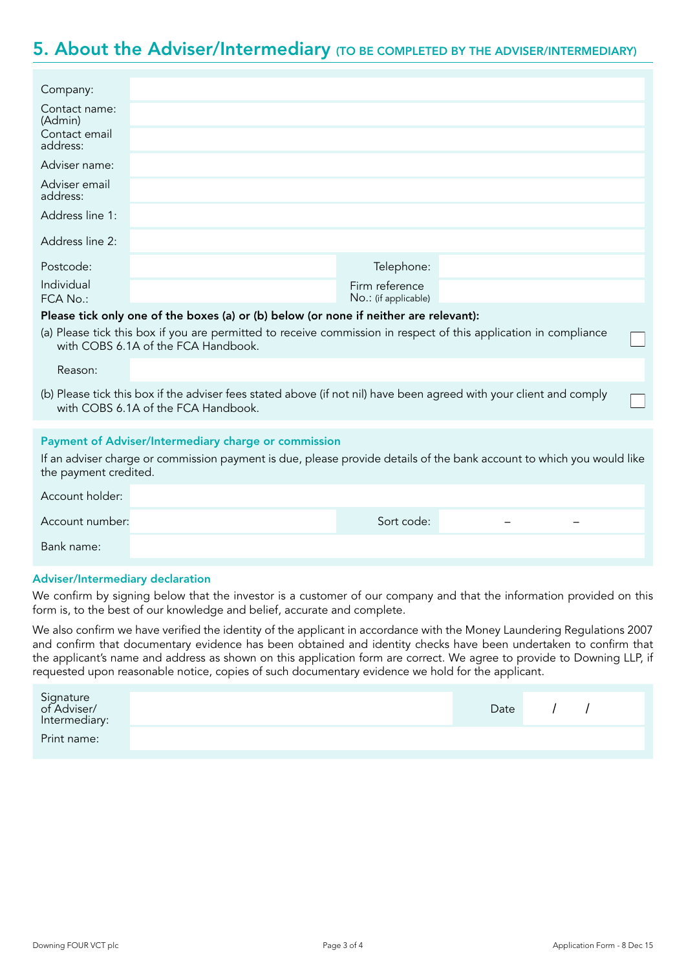### 5. About the Adviser/Intermediary (TO BE COMPLETED BY THE ADVISER/INTERMEDIARY)

| Company:                  |                                                                                                                                                            |                                        |  |
|---------------------------|------------------------------------------------------------------------------------------------------------------------------------------------------------|----------------------------------------|--|
| Contact name:<br>(Admin)  |                                                                                                                                                            |                                        |  |
| Contact email<br>address: |                                                                                                                                                            |                                        |  |
| Adviser name:             |                                                                                                                                                            |                                        |  |
| Adviser email<br>address: |                                                                                                                                                            |                                        |  |
| Address line 1:           |                                                                                                                                                            |                                        |  |
| Address line 2:           |                                                                                                                                                            |                                        |  |
| Postcode:                 |                                                                                                                                                            | Telephone:                             |  |
| Individual<br>FCA No.     |                                                                                                                                                            | Firm reference<br>No.: (if applicable) |  |
|                           | Please tick only one of the boxes (a) or (b) below (or none if neither are relevant):                                                                      |                                        |  |
|                           | (a) Please tick this box if you are permitted to receive commission in respect of this application in compliance<br>with COBS 6.1A of the FCA Handbook.    |                                        |  |
| Reason:                   |                                                                                                                                                            |                                        |  |
|                           | (b) Please tick this box if the adviser fees stated above (if not nil) have been agreed with your client and comply<br>with COBS 6.1A of the FCA Handbook. |                                        |  |
|                           |                                                                                                                                                            |                                        |  |
|                           | Payment of Adviser/Intermediary charge or commission                                                                                                       |                                        |  |
| the payment credited.     | If an adviser charge or commission payment is due, please provide details of the bank account to which you would like                                      |                                        |  |
| Account holder:           |                                                                                                                                                            |                                        |  |
| Account number:           |                                                                                                                                                            | Sort code:                             |  |
| Bank name:                |                                                                                                                                                            |                                        |  |

#### Adviser/Intermediary declaration

We confirm by signing below that the investor is a customer of our company and that the information provided on this form is, to the best of our knowledge and belief, accurate and complete.

We also confirm we have verified the identity of the applicant in accordance with the Money Laundering Regulations 2007 and confirm that documentary evidence has been obtained and identity checks have been undertaken to confirm that the applicant's name and address as shown on this application form are correct. We agree to provide to Downing LLP, if requested upon reasonable notice, copies of such documentary evidence we hold for the applicant.

| Signature<br>of Adviser/<br>Intermediary: | Date |  |  |
|-------------------------------------------|------|--|--|
| Print name:                               |      |  |  |